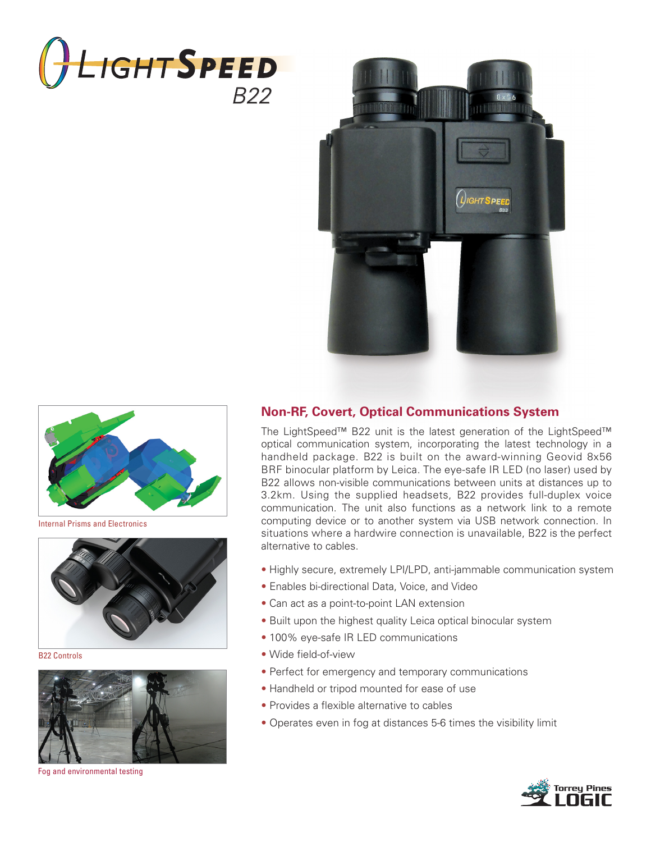





Internal Prisms and Electronics



B22 Controls



Fog and environmental testing

## **Non-RF, Covert, Optical Communications System**

The LightSpeed™ B22 unit is the latest generation of the LightSpeed™ optical communication system, incorporating the latest technology in a handheld package. B22 is built on the award-winning Geovid 8x56 BRF binocular platform by Leica. The eye-safe IR LED (no laser) used by B22 allows non-visible communications between units at distances up to 3.2km. Using the supplied headsets, B22 provides full-duplex voice communication. The unit also functions as a network link to a remote computing device or to another system via USB network connection. In situations where a hardwire connection is unavailable, B22 is the perfect alternative to cables.

- Highly secure, extremely LPI/LPD, anti-jammable communication system
- Enables bi-directional Data, Voice, and Video
- Can act as a point-to-point LAN extension
- Built upon the highest quality Leica optical binocular system
- 100% eye-safe IR LED communications
- Wide field-of-view
- Perfect for emergency and temporary communications
- Handheld or tripod mounted for ease of use
- Provides a flexible alternative to cables
- Operates even in fog at distances 5-6 times the visibility limit